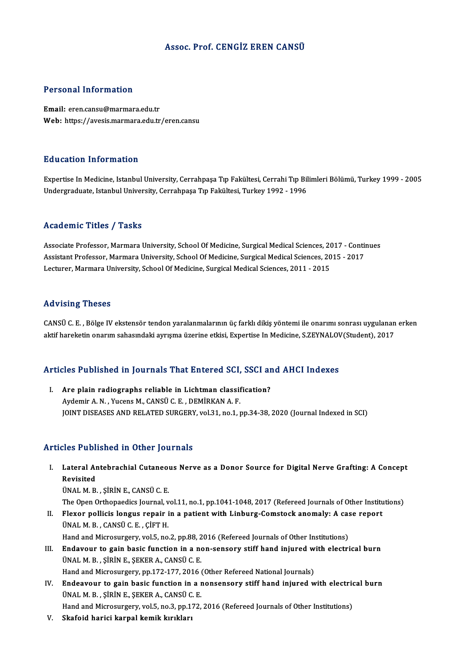### Assoc. Prof. CENGİZ EREN CANSÜ

### Personal Information

Email: eren.cansu@marmara.edu.tr Web: https://avesis.marmara.edu.tr/eren.cansu

### Education Information

Education Information<br>Expertise In Medicine, Istanbul University, Cerrahpaşa Tıp Fakültesi, Cerrahi Tıp Bilimleri Bölümü, Turkey 1999 - 2005<br>Undergraduate Istanbul University, Cerrahpasa Tıp Fakültesi, Turkey 1992 - 1996 Luususeen entse mustsen<br>Expertise In Medicine, Istanbul University, Cerrahpaşa Tıp Fakültesi, Cerrahi Tıp Bil<br>Undergraduate, Istanbul University, Cerrahpaşa Tıp Fakültesi, Turkey 1992 - 1996 Undergraduate, Istanbul University, Cerrahpaşa Tıp Fakültesi, Turkey 1992 - 1996<br>Academic Titles / Tasks

Academic Titles / Tasks<br>Associate Professor, Marmara University, School Of Medicine, Surgical Medical Sciences, 2017 - Continues<br>Assistant Professor, Marmara University, School Of Medicine, Surgical Medical Sciences, 2015 Associate Professor, Marmara University, School Of Medicine, Surgical Medical Sciences, 2017 - Contin<br>Assistant Professor, Marmara University, School Of Medicine, Surgical Medical Sciences, 2015 - 2017<br>Lecturer, Marmara Un Associate Professor, Marmara University, School Of Medicine, Surgical Medical Sciences, 20<br>Assistant Professor, Marmara University, School Of Medicine, Surgical Medical Sciences, 20<br>Lecturer, Marmara University, School Of Lecturer, Marmara University, School Of Medicine, Surgical Medical Sciences, 2011 - 2015<br>Advising Theses

Advising Theses<br>CANSÜ C. E. , Bölge IV ekstensör tendon yaralanmalarının üç farklı dikiş yöntemi ile onarımı sonrası uygulanan erken<br>aktif hareketin onarım sabasındaki ayrıcma üzerine etkisi. Expertise In Medicine, S.7EVNA rsa vasing a nosses<br>CANSÜ C. E. , Bölge IV ekstensör tendon yaralanmalarının üç farklı dikiş yöntemi ile onarımı sonrası uygulanan<br>aktif hareketin onarım sahasındaki ayrışma üzerine etkisi, Expertise In Medicine, S.ZEYNALO

# akul narekeun onarim sanasındaki ayrışma üzerine etkisi, expertise in medicine, S.ZETNALOV<br>Articles Published in Journals That Entered SCI, SSCI and AHCI Indexes

**Tricles Published in Journals That Entered SCI, SSCI and**<br>I. Are plain radiographs reliable in Lichtman classification?<br>AvdominA N. Yusans M. CANSÜ.C. E. DEMIRKAN A E. I. Are plain radiographs reliable in Lichtman classification?<br>Aydemir A. N. , Yucens M., CANSÜ C. E. , DEMİRKAN A. F. JOINT DISEASES AND RELATED SURGERY, vol.31, no.1, pp.34-38, 2020 (Journal Indexed in SCI)

### Articles Published in Other Journals

rticles Published in Other Journals<br>I. Lateral Antebrachial Cutaneous Nerve as a Donor Source for Digital Nerve Grafting: A Concept<br>Revisited *Revisited*<br>Revisited<br>NNALM P Lateral Antebrachial Cutaneo<br>Revisited<br>ÜNAL M. B. , ŞİRİN E., CANSÜ C. E.<br>The Open Orthonaediss Journal v Revisited<br>ÜNAL M. B. , ŞİRİN E., CANSÜ C. E.<br>The Open Orthopaedics Journal, vol.11, no.1, pp.1041-1048, 2017 (Refereed Journals of Other Institutions)

UNAL M. B., ŞİRİN E., CANSÜ C. E.<br>The Open Orthopaedics Journal, vol.11, no.1, pp.1041-1048, 2017 (Refereed Journals of Other Institution II.<br>II. Flexor pollicis longus repair in a patient with Linburg-Comstock anomaly: A The Open Orthopaedics Journal, v<br>Flexor pollicis longus repair i<br>ÜNAL M. B. , CANSÜ C. E. , ÇİFT H.<br>Hand and Misrosurgery, vol 5, no Flexor pollicis longus repair in a patient with Linburg-Comstock anomaly: A case<br>UNAL M. B., CANSU C. E., ÇIFT H.<br>Hand and Microsurgery, vol.5, no.2, pp.88, 2016 (Refereed Journals of Other Institutions)<br>Endayour to sain b

UNAL M. B., CANSU C. E., ÇIFT H.<br>Hand and Microsurgery, vol.5, no.2, pp.88, 2016 (Refereed Journals of Other Institutions)<br>III. Endavour to gain basic function in a non-sensory stiff hand injured with electrical burn<br>III. Hand and Microsurgery, vol.5, no.2, pp.88, 2<br>Endavour to gain basic function in a no<br>ÜNAL M. B. , ŞİRİN E., ŞEKER A., CANSÜ C. E.<br>Hand and Misrosurgery, np.172, 177, 2016. Endavour to gain basic function in a non-sensory stiff hand injured w<br>ÜNAL M. B. , ŞİRİN E., ŞEKER A., CANSÜ C. E.<br>Hand and Microsurgery, pp.172-177, 2016 (Other Refereed National Journals)<br>Endeavour to sain basic function

UNAL M. B., ŞİRİN E., ŞEKER A., CANSU C. E.<br>Hand and Microsurgery, pp.172-177, 2016 (Other Refereed National Journals)<br>IV. Endeavour to gain basic function in a nonsensory stiff hand injured with electrical burn<br>INAL M. B. Hand and Microsurgery, pp.172-177, 2016<br>Endeavour to gain basic function in a r<br>ÜNAL M. B. , ŞİRİN E., ŞEKER A., CANSÜ C. E.<br>Hand and Misrosurgery, vol 5, no 3, nn 173. Endeavour to gain basic function in a nonsensory stiff hand injured with electric<br>ÜNAL M. B. , ŞİRİN E., ŞEKER A., CANSÜ C. E.<br>Hand and Microsurgery, vol.5, no.3, pp.172, 2016 (Refereed Journals of Other Institutions)<br>Skaf ÜNAL M. B. , ŞİRİN E., ŞEKER A., CANSÜ C. E.<br>Hand and Microsurgery, vol.5, no.3, pp.172, 2016 (Refereed Journals of Other Institutions)<br>V. Skafoid harici karpal kemik kırıkları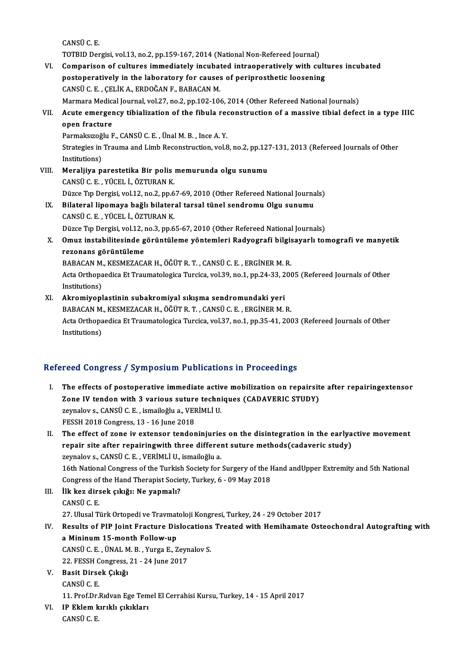CANSÜC.E.

TOTBID Dergisi, vol.13, no.2, pp.159-167, 2014 (National Non-Refereed Journal)

VI. Comparison of cultures immediately incubated intraoperatively with cultures incubated TOTBID Dergisi, vol.13, no.2, pp.159-167, 2014 (National Non-Refereed Journal)<br>Comparison of cultures immediately incubated intraoperatively with cult<br>postoperatively in the laboratory for causes of periprosthetic loosenin Comparison of cultures immediately incubat<br>postoperatively in the laboratory for causes<br>CANSÜ C. E. , ÇELİK A., ERDOĞAN F., BABACAN M.<br>Marmara Madisal Jaurnal vol 27, no 2, np 102, 100 CANSÜ C. E. , ÇELİK A., ERDOĞAN F., BABACAN M.<br>Marmara Medical Journal, vol.27, no.2, pp.102-106, 2014 (Other Refereed National Journals) CANSÜ C. E. , ÇELİK A., ERDOĞAN F., BABACAN M.<br>Marmara Medical Journal, vol.27, no.2, pp.102-106, 2014 (Other Refereed National Journals)<br>VII. Acute emergency tibialization of the fibula reconstruction of a massive tib

# Marmara Medica<br><mark>Acute emerger</mark><br>open fracture<br><sup>Dormaksuseğlu E</sup> Acute emergency tibialization of the fibula ree<br>open fracture<br>Parmaksızoğlu F., CANSÜ C. E. , Ünal M. B. , Ince A. Y.<br>Strategies in Trauma and Limb Beconstruction vel S

open fracture<br>Parmaksızoğlu F., CANSÜ C. E. , Ünal M. B. , Ince A. Y.<br>Strategies in Trauma and Limb Reconstruction, vol.8, no.2, pp.127-131, 2013 (Refereed Journals of Other<br>Institutions) Parmaksızoğ<br>Strategies in<br>Institutions)<br>Menaliiva p Strategies in Trauma and Limb Reconstruction, vol.8, no.2, pp.12<br>Institutions)<br>VIII. Meraljiya parestetika Bir polis memurunda olgu sunumu<br>CANSÜCE VÜCELLÖZTUPAN K

- Institutions)<br>Meraljiya parestetika Bir polis<br>CANSÜ C. E. , YÜCEL İ., ÖZTURAN K.<br>Düzee Tın Dergisi vel 12 no 2 nn 6 Meraljiya parestetika Bir polis memurunda olgu sunumu<br>CANSÜ C. E. , YÜCEL İ., ÖZTURAN K.<br>Düzce Tıp Dergisi, vol.12, no.2, pp.67-69, 2010 (Other Refereed National Journals)<br>Bilataral linomaya bağlı bilataral tarsal tünal sa CANSÜ C. E. , YÜCEL İ., ÖZTURAN K.<br>Düzce Tıp Dergisi, vol.12, no.2, pp.67-69, 2010 (Other Refereed National Journa<br>IX. Bilateral lipomaya bağlı bilateral tarsal tünel sendromu Olgu sunumu<br>CANSÜ C. E. VÜCEL İ. ÖZTURAN K.
- Düzce Tıp Dergisi, vol.12, no.2, pp.6<br>Bilateral lipomaya bağlı bilater:<br>CANSÜ C. E. , YÜCEL İ., ÖZTURAN K.<br>Düzce Tıp Dergisi vol.13, no.3, nn.6 Bilateral lipomaya bağlı bilateral tarsal tünel sendromu Olgu sunumu<br>CANSÜ C. E. , YÜCEL İ., ÖZTURAN K.<br>Düzce Tıp Dergisi, vol.12, no.3, pp.65-67, 2010 (Other Refereed National Journals)<br>Omuz instabilitesinde gönüntüleme v

CANSÜ C. E. , YÜCEL İ., ÖZTURAN K.<br>Düzce Tıp Dergisi, vol.12, no.3, pp.65-67, 2010 (Other Refereed National Journals)<br>X. Omuz instabilitesinde görüntüleme yöntemleri Radyografi bilgisayarlı tomografi ve manyetik<br>Refere Düzce Tıp Dergisi, vol.12, no.3, pp.65-67, 2010 (Other Refereed National Journals)<br>Omuz instabilitesinde görüntüleme yöntemleri Radyografi bilgisayarlı to<br>rezonans görüntüleme Omuz instabilitesinde görüntüleme yöntemleri Radyografi bilgis<br>rezonans görüntüleme<br>BABACAN M., KESMEZACAR H., ÖĞÜT R. T. , CANSÜ C. E. , ERGİNER M. R.<br>Asta Orthonosdisa Et Traumatalasisa Turgisa val 30. no.1. nn 34.33.300

Acta Orthopaedica Et Traumatologica Turcica, vol.39, no.1, pp.24-33, 2005 (Refereed Journals of Other Institutions) BABACAN M., KESMEZACAR H., ÖĞÜT R. T., CANSÜ C. E., ERGİNER M. R.

XI. Akromiyoplastinin subakromiyal sıkışma sendromundaki yeri Institutions)<br><mark>Akromiyoplastinin subakromiyal sıkışma sendromundaki yeri</mark><br>BABACAN M., KESMEZACAR H., ÖĞÜT R. T. , CANSÜ C. E. , ERGİNER M. R.<br>Asta Orthopaedisa Et Traumatalegisa Turgisa vel 37 no 1 nn 35 41 300 Acta Orthopaedica Et Traumatologica Turcica, vol.37, no.1, pp.35-41, 2003 (Refereed Journals of Other Institutions) BABACAN M.<br>Acta Orthopa<br>Institutions)

## Refereed Congress / Symposium Publications in Proceedings

efereed Congress / Symposium Publications in Proceedings<br>I. The effects of postoperative immediate active mobilization on repairsite after repairingextensor<br>Zone W tenden with 3 verious suture techniques (CADAVERIC STUDY) The effects of postoperative immediate active mobilization on repairsit<br>Zone IV tendon with 3 various suture techniques (CADAVERIC STUDY) The effects of postoperative immediate activ<br>Zone IV tendon with 3 various suture techni<br>zeynalov s., CANSÜ C. E. , ismailoğlu a., VERİMLİ U. Zone IV tendon with 3 various suture techniques (CADAVERIC STUDY)<br>zeynalov s., CANSÜ C. E. , ismailoğlu a., VERİMLİ U.<br>FESSH 2018 Congress, 13 - 16 June 2018

II. The effect of zone iv extensor tendoninjuries on the disintegration in the earlyactive movement FESSH 2018 Congress, 13 - 16 June 2018<br>The effect of zone iv extensor tendoninjuries on the disintegration in the earlya<br>repair site after repairingwith three different suture methods(cadaveric study)<br>zaymalove CANSÜC F. V The effect of zone iv extensor tendoninjurie<br>repair site after repairingwith three differen<br>zeynalov s., CANSÜ C.E. , VERİMLİ U., ismailoğlu a.<br>16th National Congrees of the Turkish Society for zeynalov s., CANSÜ C. E. , VERİMLİ U., ismailoğlu a.<br>16th National Congress of the Turkish Society for Surgery of the Hand andUpper Extremity and 5th National Congress of the Hand Therapist Society, Turkey, 6 - 09 May 2018 16th National Congress of the Turkish<br>Congress of the Hand Therapist Socie<br>III. **İlk kez dirsek çıkığı: Ne yapmalı?**<br>CANSÜC E

- Congress of<br>**İlk kez dir:**<br>CANSÜ C. E.<br>27 Ulusal T. 27.UlusalTürkOrtopediveTravmatolojiKongresi,Turkey,24 -29October 2017 CANSÜ C. E.<br>27. Ulusal Türk Ortopedi ve Travmatoloji Kongresi, Turkey, 24 - 29 October 2017<br>IV. Results of PIP Joint Fracture Dislocations Treated with Hemihamate Osteochondral Autografting with<br>2 Mininum 15 month Fol
- 27. Ulusal Türk Ortopedi ve Travmat<br>Results of PIP Joint Fracture Dis<br>a Mininum 15-month Follow-up<br>CANSÜC E ÜNALM B Yugge E-Z Results of PIP Joint Fracture Dislocations<br>a Mininum 15-month Follow-up<br>CANSÜ C. E., ÜNAL M. B., Yurga E., Zeynalov S.<br>22. EESSH CORTESS: 21, 24 June 2017 a Mininum 15-month Follow-up<br>CANSÜ C. E., ÜNAL M. B., Yurga E., Zeynalov S.

22. FESSH Congress, 21 - 24 June 2017

V. Basit Dirsek Çıkığı

Basit Dirsek Çıkığı<br>CANSÜ C. E.<br>11. Prof.Dr.Rıdvan Ege Temel El Cerrahisi Kursu, Turkey, 14 - 15 April 2017<br>IB Eklem kurkkı, sıkıkları

VI. IP Eklem kırıklı çıkıkları<br>CANSÜ C. E. 11. Prof.Dr.<br>I<mark>P Eklem k</mark><br>CANSÜ C. E.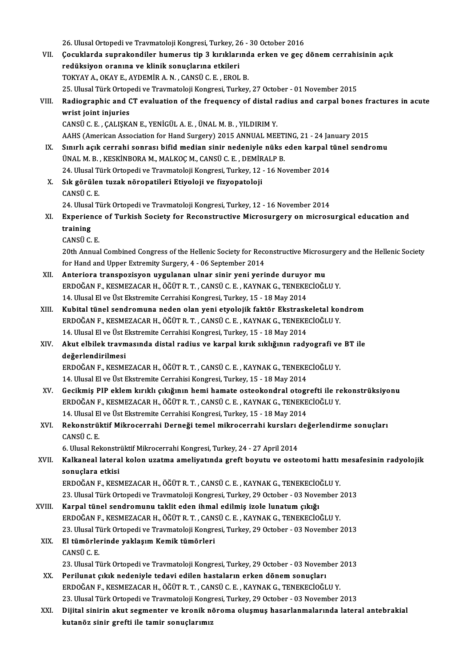|        | 26. Ulusal Ortopedi ve Travmatoloji Kongresi, Turkey, 26 - 30 October 2016                                                                                                     |
|--------|--------------------------------------------------------------------------------------------------------------------------------------------------------------------------------|
| VII.   | Çocuklarda suprakondiler humerus tip 3 kırıklarında erken ve geç dönem cerrahisinin açık                                                                                       |
|        | redüksiyon oranına ve klinik sonuçlarına etkileri                                                                                                                              |
|        | TOKYAY A., OKAY E., AYDEMİR A. N., CANSÜ C. E., EROL B.                                                                                                                        |
|        | 25. Ulusal Türk Ortopedi ve Travmatoloji Kongresi, Turkey, 27 October - 01 November 2015                                                                                       |
| VIII.  | Radiographic and CT evaluation of the frequency of distal radius and carpal bones fractures in acute                                                                           |
|        | wrist joint injuries                                                                                                                                                           |
|        | CANSÜ C. E., ÇALIŞKAN E., YENİGÜL A. E., ÜNAL M. B., YILDIRIM Y.                                                                                                               |
|        | AAHS (American Association for Hand Surgery) 2015 ANNUAL MEETING, 21 - 24 January 2015                                                                                         |
| IX.    | Sınırlı açık cerrahi sonrası bifid median sinir nedeniyle nüks eden karpal tünel sendromu                                                                                      |
|        | ÜNAL M. B., KESKİNBORA M., MALKOÇ M., CANSÜ C. E., DEMİRALP B.                                                                                                                 |
|        | 24. Ulusal Türk Ortopedi ve Travmatoloji Kongresi, Turkey, 12 - 16 November 2014                                                                                               |
| X.     | Sık görülen tuzak nöropatileri Etiyoloji ve fizyopatoloji                                                                                                                      |
|        | CANSÜ C E                                                                                                                                                                      |
|        | 24. Ulusal Türk Ortopedi ve Travmatoloji Kongresi, Turkey, 12 - 16 November 2014                                                                                               |
| XI.    | Experience of Turkish Society for Reconstructive Microsurgery on microsurgical education and<br>training                                                                       |
|        | CANSÜ <sub>CE</sub>                                                                                                                                                            |
|        | 20th Annual Combined Congress of the Hellenic Society for Reconstructive Microsurgery and the Hellenic Society                                                                 |
|        | for Hand and Upper Extremity Surgery, 4 - 06 September 2014                                                                                                                    |
| XII.   | Anteriora transpozisyon uygulanan ulnar sinir yeni yerinde duruyor mu                                                                                                          |
|        | ERDOĞAN F., KESMEZACAR H., ÖĞÜT R. T., CANSÜ C. E., KAYNAK G., TENEKECİOĞLU Y.                                                                                                 |
|        | 14. Ulusal El ve Üst Ekstremite Cerrahisi Kongresi, Turkey, 15 - 18 May 2014                                                                                                   |
| XIII.  | Kubital tünel sendromuna neden olan yeni etyolojik faktör Ekstraskeletal kondrom                                                                                               |
|        | ERDOĞAN F., KESMEZACAR H., ÖĞÜT R. T., CANSÜ C. E., KAYNAK G., TENEKECİOĞLU Y.                                                                                                 |
|        | 14. Ulusal El ve Üst Ekstremite Cerrahisi Kongresi, Turkey, 15 - 18 May 2014                                                                                                   |
| XIV.   | Akut elbilek travmasında distal radius ve karpal kırık sıklığının radyografi ve BT ile                                                                                         |
|        | değerlendirilmesi                                                                                                                                                              |
|        | ERDOĞAN F., KESMEZACAR H., ÖĞÜT R. T., CANSÜ C. E., KAYNAK G., TENEKECİOĞLU Y.                                                                                                 |
|        | 14. Ulusal El ve Üst Ekstremite Cerrahisi Kongresi, Turkey, 15 - 18 May 2014                                                                                                   |
| XV.    | Gecikmiş PIP eklem kırıklı çıkığının hemi hamate osteokondral otogrefti ile rekonstrüksiyonu<br>ERDOĞAN F., KESMEZACAR H., ÖĞÜT R. T., CANSÜ C. E., KAYNAK G., TENEKECİOĞLU Y. |
|        | 14. Ulusal El ve Üst Ekstremite Cerrahisi Kongresi, Turkey, 15 - 18 May 2014                                                                                                   |
| XVI.   | Rekonstrüktif Mikrocerrahi Derneği temel mikrocerrahi kursları değerlendirme sonuçları                                                                                         |
|        | CANSÜ C. E.                                                                                                                                                                    |
|        | 6. Ulusal Rekonstrüktif Mikrocerrahi Kongresi, Turkey, 24 - 27 April 2014                                                                                                      |
| XVII.  | Kalkaneal lateral kolon uzatma ameliyatında greft boyutu ve osteotomi hattı mesafesinin radyolojik                                                                             |
|        | sonuçlara etkisi                                                                                                                                                               |
|        | ERDOĞAN F., KESMEZACAR H., ÖĞÜT R. T., CANSÜ C. E., KAYNAK G., TENEKECİOĞLU Y.                                                                                                 |
|        | 23. Ulusal Türk Ortopedi ve Travmatoloji Kongresi, Turkey, 29 October - 03 November 2013                                                                                       |
| XVIII. | Karpal tünel sendromunu taklit eden ihmal edilmiş izole lunatum çıkığı                                                                                                         |
|        | ERDOĞAN F., KESMEZACAR H., ÖĞÜT R. T., CANSÜ C. E., KAYNAK G., TENEKECİOĞLU Y.                                                                                                 |
|        | 23. Ulusal Türk Ortopedi ve Travmatoloji Kongresi, Turkey, 29 October - 03 November 2013                                                                                       |
| XIX.   | El tümörlerinde yaklaşım Kemik tümörleri                                                                                                                                       |
|        | CANSÜ C E                                                                                                                                                                      |
|        | 23. Ulusal Türk Ortopedi ve Travmatoloji Kongresi, Turkey, 29 October - 03 November 2013                                                                                       |
| XX.    | Perilunat çıkık nedeniyle tedavi edilen hastaların erken dönem sonuçları<br>ERDOĞAN F., KESMEZACAR H., ÖĞÜT R. T. , CANSÜ C. E. , KAYNAK G., TENEKECİOĞLU Y.                   |
|        | 23. Ulusal Türk Ortopedi ve Travmatoloji Kongresi, Turkey, 29 October - 03 November 2013                                                                                       |
| XXI.   | Dijital sinirin akut segmenter ve kronik nöroma oluşmuş hasarlanmalarında lateral antebrakial                                                                                  |
|        | kutanöz sinir grefti ile tamir sonuçlarımız                                                                                                                                    |
|        |                                                                                                                                                                                |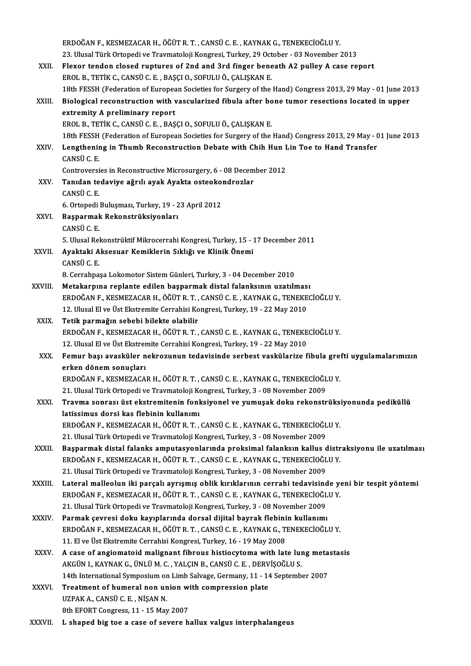|              | ERDOĞAN F., KESMEZACAR H., ÖĞÜT R. T., CANSÜ C. E., KAYNAK G., TENEKECİOĞLU Y.                                            |
|--------------|---------------------------------------------------------------------------------------------------------------------------|
|              | 23. Ulusal Türk Ortopedi ve Travmatoloji Kongresi, Turkey, 29 October - 03 November 2013                                  |
| XXII.        | Flexor tendon closed ruptures of 2nd and 3rd finger beneath A2 pulley A case report                                       |
|              | EROL B., TETİK C., CANSÜ C. E., BAŞÇI O., SOFULU Ö., ÇALIŞKAN E.                                                          |
|              | 18th FESSH (Federation of European Societies for Surgery of the Hand) Congress 2013, 29 May - 01 June 2013                |
| XXIII.       | Biological reconstruction with vascularized fibula after bone tumor resections located in upper                           |
|              | extremity A preliminary report                                                                                            |
|              | EROL B., TETİK C., CANSÜ C. E., BAŞÇI O., SOFULU Ö., ÇALIŞKAN E.                                                          |
|              | 18th FESSH (Federation of European Societies for Surgery of the Hand) Congress 2013, 29 May - 01 June 2013                |
| XXIV.        | Lengthening in Thumb Reconstruction Debate with Chih Hun Lin Toe to Hand Transfer                                         |
|              | CANSÜ C E                                                                                                                 |
|              | Controversies in Reconstructive Microsurgery, 6 - 08 December 2012                                                        |
| XXV          | Tanıdan tedaviye ağrılı ayak Ayakta osteokondrozlar                                                                       |
|              | CANSÜ C E                                                                                                                 |
|              | 6. Ortopedi Buluşması, Turkey, 19 - 23 April 2012                                                                         |
| XXVI.        | Başparmak Rekonstrüksiyonları                                                                                             |
|              | <b>CANSÜCE</b>                                                                                                            |
|              | 5. Ulusal Rekonstrüktif Mikrocerrahi Kongresi, Turkey, 15 - 17 December 2011                                              |
| XXVII.       | Ayaktaki Aksesuar Kemiklerin Sıklığı ve Klinik Önemi                                                                      |
|              | CANSÜ C. E.                                                                                                               |
|              | 8. Cerrahpaşa Lokomotor Sistem Günleri, Turkey, 3 - 04 December 2010                                                      |
| XXVIII.      | Metakarpına replante edilen başparmak distal falanksının uzatılması                                                       |
|              | ERDOĞAN F., KESMEZACAR H., ÖĞÜT R. T., CANSÜ C. E., KAYNAK G., TENEKECİOĞLU Y.                                            |
|              | 12. Ulusal El ve Üst Ekstremite Cerrahisi Kongresi, Turkey, 19 - 22 May 2010                                              |
| XXIX.        | Tetik parmağın sebebi bilekte olabilir                                                                                    |
|              | ERDOĞAN F., KESMEZACAR H., ÖĞÜT R. T., CANSÜ C. E., KAYNAK G., TENEKECİOĞLU Y.                                            |
|              | 12. Ulusal El ve Üst Ekstremite Cerrahisi Kongresi, Turkey, 19 - 22 May 2010                                              |
| XXX.         | Femur başı avasküler nekrozunun tedavisinde serbest vaskülarize fibula grefti uygulamalarımızın                           |
|              | erken dönem sonucları                                                                                                     |
|              | ERDOĞAN F., KESMEZACAR H., ÖĞÜT R. T., CANSÜ C. E., KAYNAK G., TENEKECİOĞLU Y.                                            |
|              | 21. Ulusal Türk Ortopedi ve Travmatoloji Kongresi, Turkey, 3 - 08 November 2009                                           |
| <b>XXXI</b>  | Travma sonrası üst ekstremitenin fonksiyonel ve yumuşak doku rekonstrüksiyonunda pediküllü                                |
|              | latissimus dorsi kas flebinin kullanımı<br>ERDOĞAN F., KESMEZACAR H., ÖĞÜT R. T., CANSÜ C. E., KAYNAK G., TENEKECİOĞLU Y. |
|              | 21. Ulusal Türk Ortopedi ve Travmatoloji Kongresi, Turkey, 3 - 08 November 2009                                           |
| XXXII.       | Başparmak distal falanks amputasyonlarında proksimal falanksın kallus distraksiyonu ile uzatılması                        |
|              | ERDOĞAN F., KESMEZACAR H., ÖĞÜT R. T., CANSÜ C. E., KAYNAK G., TENEKECİOĞLU Y.                                            |
|              | 21. Ulusal Türk Ortopedi ve Travmatoloji Kongresi, Turkey, 3 - 08 November 2009                                           |
| XXXIII.      | Lateral malleolun iki parçalı ayrışmış oblik kırıklarının cerrahi tedavisinde yeni bir tespit yöntemi                     |
|              | ERDOĞAN F., KESMEZACAR H., ÖĞÜT R. T., CANSÜ C. E., KAYNAK G., TENEKECİOĞLU Y.                                            |
|              | 21. Ulusal Türk Ortopedi ve Travmatoloji Kongresi, Turkey, 3 - 08 November 2009                                           |
| <b>XXXIV</b> | Parmak çevresi doku kayıplarında dorsal dijital bayrak flebinin kullanımı                                                 |
|              | ERDOĞAN F., KESMEZACAR H., ÖĞÜT R. T., CANSÜ C. E., KAYNAK G., TENEKECİOĞLU Y.                                            |
|              | 11. El ve Üst Ekstremite Cerrahisi Kongresi, Turkey, 16 - 19 May 2008                                                     |
| <b>XXXV</b>  | A case of angiomatoid malignant fibrous histiocytoma with late lung metastasis                                            |
|              | AKGÜN I., KAYNAK G., ÜNLÜ M. C., YALÇIN B., CANSÜ C. E., DERVİŞOĞLU S.                                                    |
|              | 14th International Symposium on Limb Salvage, Germany, 11 - 14 September 2007                                             |
| <b>XXXVI</b> | Treatment of humeral non union with compression plate                                                                     |
|              | UZPAK A., CANSÜ C. E., NİŞAN N.                                                                                           |
|              | 8th EFORT Congress, 11 - 15 May 2007                                                                                      |
| XXXVII.      | L shaped big toe a case of severe hallux valgus interphalangeus                                                           |
|              |                                                                                                                           |